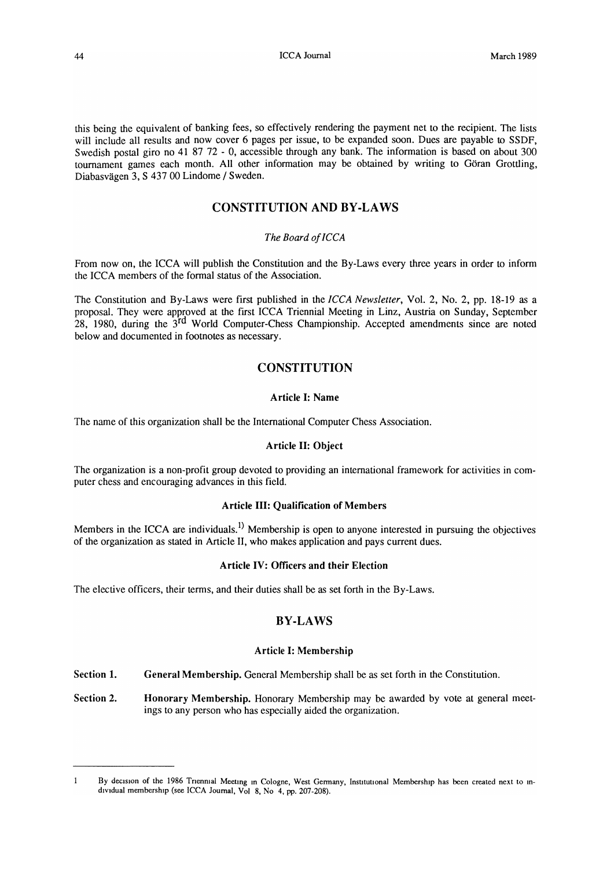this being the equivalent of banking fees, so effectively rendering the payment net to the recipient. The lists will include all results and now cover 6 pages per issue, to be expanded soon. Dues are payable to SSDF, Swedish postal giro no 41 87 72 - 0, accessible through any bank. The information is based on about 300 tournament games each month. All other information may be obtained by writing to Göran Grottling, Diabasvagen 3, S 43700 Lindome / Sweden.

# CONSTITUTION AND BY -LAWS

#### *The Board of ICCA*

From now on, the ICCA will publish the Constitution and the By-Laws every three years in order to inform the ICCA members of the formal status of the Association.

The Constitution and By-Laws were first published in the *ICCA Newsletter,* Vol. 2, No.2, pp. 18-19 as a proposal. They were approved at the first ICC A Triennial Meeting in Linz, Austria on Sunday, September 28, 1980, during the 3<sup>rd</sup> World Computer-Chess Championship. Accepted amendments since are noted below and documented in footnotes as necessary.

# **CONSTITUTION**

#### Article I: Name

The name of this organization shall be the International Computer Chess Association.

### Article II: Object

The organization is a non-profit group devoted to providing an international framework for activities in computer chess and encouraging advances in this field.

## Article III: Qualification of Members

Members in the ICCA are individuals.<sup>1)</sup> Membership is open to anyone interested in pursuing the objectives of the organization as stated in Article II, who makes application and pays current dues.

### Article IV: Officers and their Election

The elective officers, their terms, and their duties shall be as set forth in the By-Laws.

## BY-LAWS

#### Article I: Membership

- Section 1. General Membership. General Membership shall be as set forth in the Constitution.
- Section 2. Honorary Membership. Honorary Membership may be awarded by vote at general meetings to any person who has especially aided the organization.

 $\mathbf{1}$ By decision of the 1986 Trienmal Meeting in Cologne, West Germany, Institutional Membership has been created next to individual membership (see ICCA Journal, Vol 8, No 4, pp. 207-208).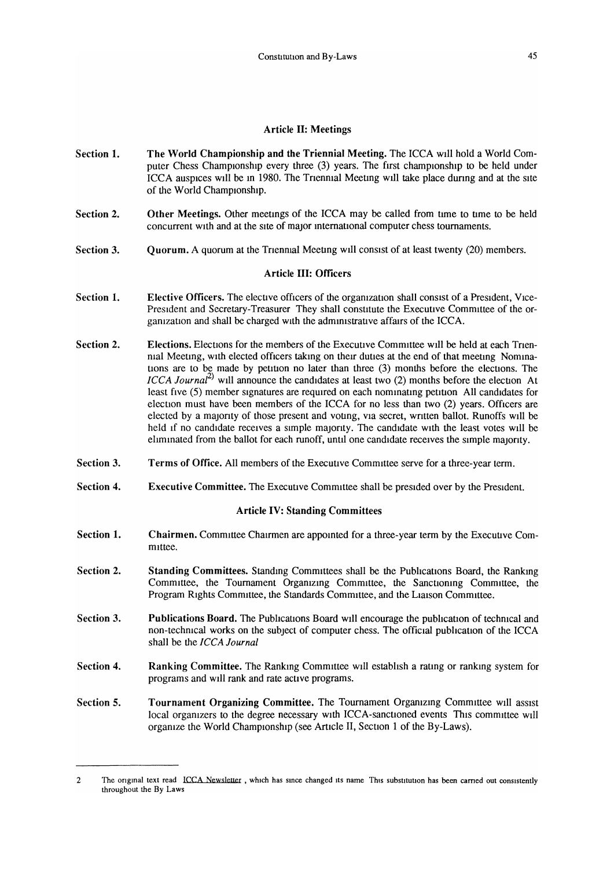#### Article II: Meetings

- Section 1. The World Championship and the Triennial Meeting. The ICC A wIll hold a World Computer Chess Championship every three  $(3)$  years. The first championship to be held under ICCA auspices will be in 1980. The Trienmal Meeting will take place during and at the site of the World Championship.
- Section 2. Other Meetings. Other meetings of the ICCA may be called from time to time to be held concurrent with and at the site of major international computer chess tournaments.
- Section 3. Ouorum. A quorum at the Trienmal Meeting will consist of at least twenty  $(20)$  members.

## Article III: Officers

- Section 1. Elective Officers. The elective officers of the organization shall consist of a President, Vice-President and Secretary-Treasurer They shall constitute the Executive Committee of the organization and shall be charged with the administrative affairs of the ICCA.
- Section 2. Elections. Elections for the members of the Executive Committee will be held at each Trienmal Meeting, with elected officers taking on their duties at the end of that meeting Nominations are to be made by petition no later than three (3) months before the elections. The *ICCA Journal*<sup>2)</sup> will announce the candidates at least two (2) months before the election At least five (5) member signatures are required on each nominating petition All candidates for election must have been members of the ICCA for no less than two  $(2)$  years. Officers are elected by a majority of those present and voting, via secret, written ballot. Runoffs will be held if no candidate receives a simple majority. The candidate with the least votes will be eliminated from the ballot for each runoff, until one candidate receives the simple majority.
- Section 3. Terms of Office. All members of the Executive Committee serve for a three-year term.
- Section 4. Executive Committee. The Executive Committee shall be presided over by the President.

## Article IV: Standing Committees

- Section 1. Chairmen. Committee Chairmen are appointed for a three-year term by the Executive Committee.
- Section 2. Standing Committees. Standing Committees shall be the Publications Board, the Ranking Committee, the Tournament Organizing Committee, the Sanctioning Committee, the Program Rights Committee, the Standards Committee, and the Liaison Committee.
- Section 3. Publications Board. The Publications Board will encourage the publication of technical and non-technical works on the subject of computer chess. The official publication of the ICCA shall be the *ICCA Journal*
- Section 4. Ranking Committee. The Ranking Committee will establish a rating or ranking system for programs and will rank and rate active programs.
- Section 5. Tournament Organizing Committee. The Tournament Organizing Committee will assist local organizers to the degree necessary with ICCA-sanctioned events This committee will organize the World Championship (see Article II, Section 1 of the By-Laws).

<sup>2</sup> The original text read ICCA Newsletter, which has since changed its name This substitution has been carried out consistently throughout the By Laws